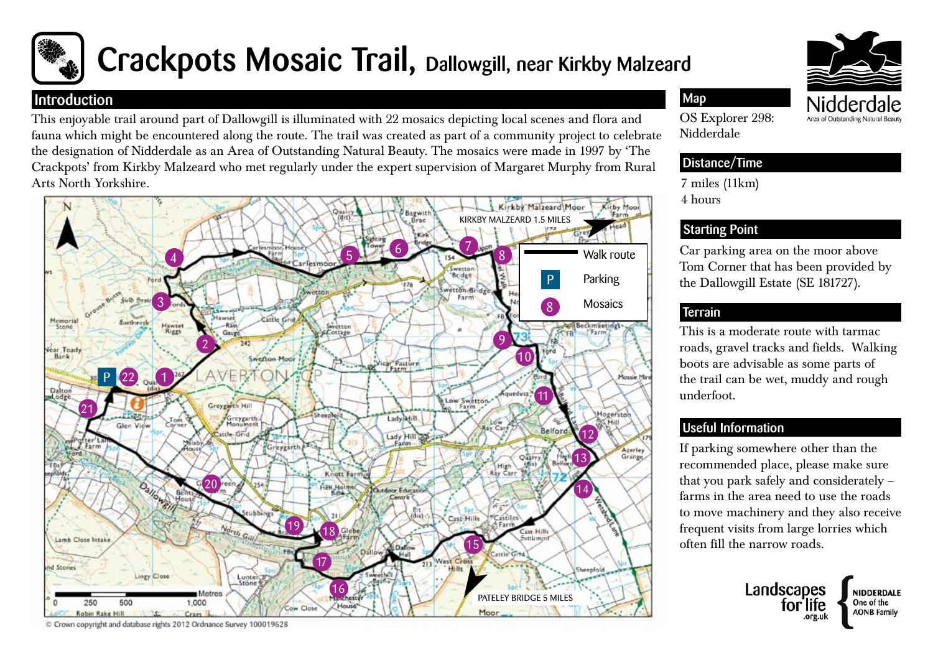

# Crackpots Mosaic Trail, Dallowgill, near Kirkby Malzeard

#### **Introduction**

This enjoyable trail around part of Dallowgill is illuminated with 22 mosaics depicting local scenes and flora and fauna which might be encountered along the route. The trail was created as part of a community project to celebrate the designation of Nidderdale as an Area of Outstanding Natural Beauty. The mosaics were made in 1997 by 'The Crackpots' from Kirkby Malzeard who met regularly under the expert supervision of Margaret Murphy from Rural Arts North Yorkshire.



C Crown copyright and database rights 2012 Ordnance Survey 100019628

# Area of Outstanding Natural

OS Explorer 298: Nidderdale

Map

#### Distance/Time

7 miles (11km) 4 hours

## Starting Point

Car parking area on the moor above Tom Corner that has been provided by the Dallowgill Estate (SE 181727).

#### **Terrain**

This is a moderate route with tarmac roads, gravel tracks and fields. Walking boots are advisable as some parts of the trail can be wet, muddy and rough underfoot.

## Useful Information

If parking somewhere other than the recommended place, please make sure that you park safely and considerately – farms in the area need to use the roads to move machinery and they also receive frequent visits from large lorries which often fill the narrow roads.



NIDDERDALE One of the

**AONB Family**